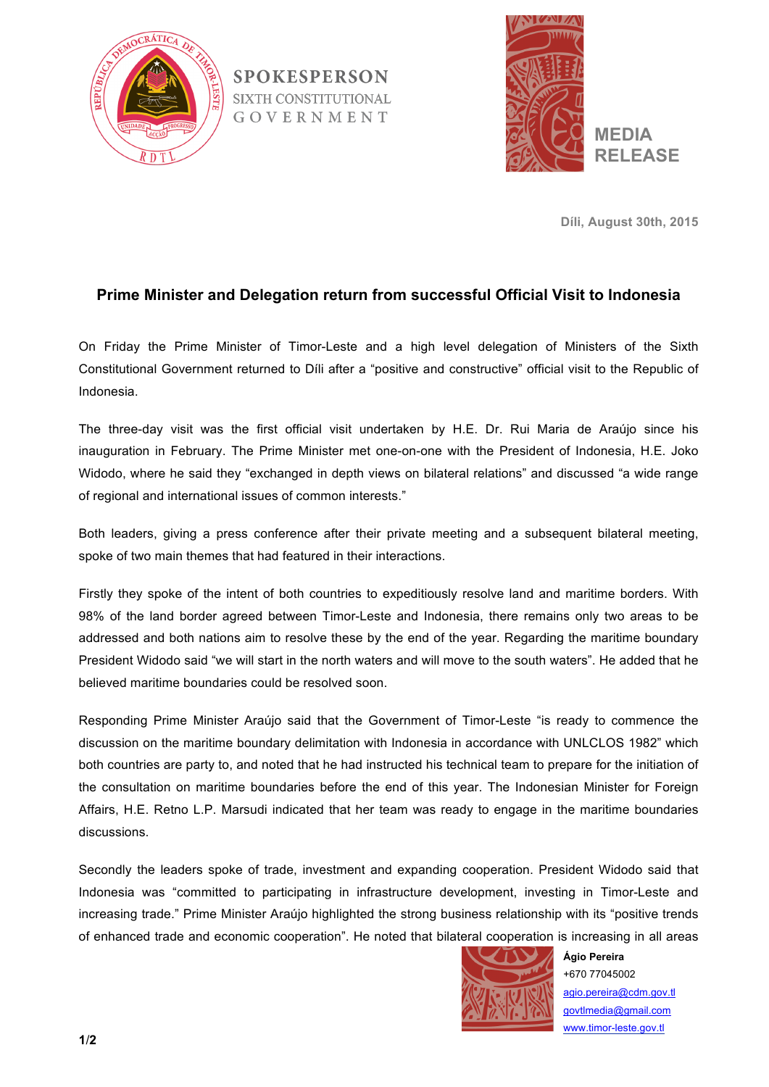

**SPOKESPERSON SIXTH CONSTITUTIONAL** GOVERNMENT



**Díli, August 30th, 2015**

## **Prime Minister and Delegation return from successful Official Visit to Indonesia**

On Friday the Prime Minister of Timor-Leste and a high level delegation of Ministers of the Sixth Constitutional Government returned to Díli after a "positive and constructive" official visit to the Republic of Indonesia.

The three-day visit was the first official visit undertaken by H.E. Dr. Rui Maria de Araújo since his inauguration in February. The Prime Minister met one-on-one with the President of Indonesia, H.E. Joko Widodo, where he said they "exchanged in depth views on bilateral relations" and discussed "a wide range of regional and international issues of common interests."

Both leaders, giving a press conference after their private meeting and a subsequent bilateral meeting, spoke of two main themes that had featured in their interactions.

Firstly they spoke of the intent of both countries to expeditiously resolve land and maritime borders. With 98% of the land border agreed between Timor-Leste and Indonesia, there remains only two areas to be addressed and both nations aim to resolve these by the end of the year. Regarding the maritime boundary President Widodo said "we will start in the north waters and will move to the south waters". He added that he believed maritime boundaries could be resolved soon.

Responding Prime Minister Araújo said that the Government of Timor-Leste "is ready to commence the discussion on the maritime boundary delimitation with Indonesia in accordance with UNLCLOS 1982" which both countries are party to, and noted that he had instructed his technical team to prepare for the initiation of the consultation on maritime boundaries before the end of this year. The Indonesian Minister for Foreign Affairs, H.E. Retno L.P. Marsudi indicated that her team was ready to engage in the maritime boundaries discussions.

Secondly the leaders spoke of trade, investment and expanding cooperation. President Widodo said that Indonesia was "committed to participating in infrastructure development, investing in Timor-Leste and increasing trade." Prime Minister Araújo highlighted the strong business relationship with its "positive trends of enhanced trade and economic cooperation". He noted that bilateral cooperation is increasing in all areas



**Ágio Pereira** +670 77045002 agio.pereira@cdm.gov.tl govtlmedia@gmail.com www.timor-leste.gov.tl